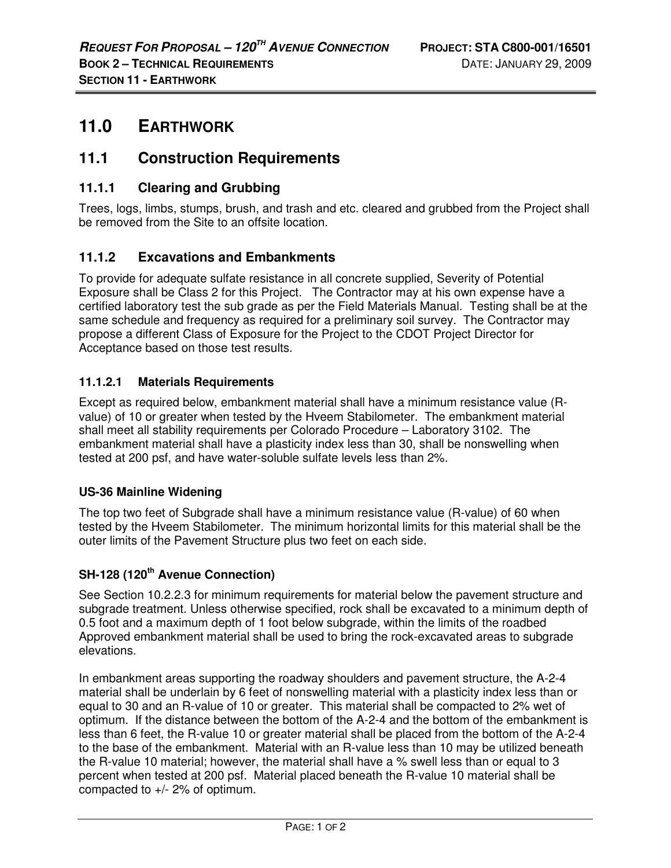# **11.0 EARTHWORK**

# **11.1 Construction Requirements**

## **11.1.1 Clearing and Grubbing**

Trees, logs, limbs, stumps, brush, and trash and etc. cleared and grubbed from the Project shall be removed from the Site to an offsite location.

### **11.1.2 Excavations and Embankments**

To provide for adequate sulfate resistance in all concrete supplied, Severity of Potential Exposure shall be Class 2 for this Project. The Contractor may at his own expense have a certified laboratory test the sub grade as per the Field Materials Manual. Testing shall be at the same schedule and frequency as required for a preliminary soil survey. The Contractor may propose a different Class of Exposure for the Project to the CDOT Project Director for Acceptance based on those test results.

#### **11.1.2.1 Materials Requirements**

Except as required below, embankment material shall have a minimum resistance value (Rvalue) of 10 or greater when tested by the Hveem Stabilometer. The embankment material shall meet all stability requirements per Colorado Procedure – Laboratory 3102. The embankment material shall have a plasticity index less than 30, shall be nonswelling when tested at 200 psf, and have water-soluble sulfate levels less than 2%.

#### **US-36 Mainline Widening**

The top two feet of Subgrade shall have a minimum resistance value (R-value) of 60 when tested by the Hveem Stabilometer. The minimum horizontal limits for this material shall be the outer limits of the Pavement Structure plus two feet on each side.

#### **SH-128 (120th Avenue Connection)**

See Section 10.2.2.3 for minimum requirements for material below the pavement structure and subgrade treatment. Unless otherwise specified, rock shall be excavated to a minimum depth of 0.5 foot and a maximum depth of 1 foot below subgrade, within the limits of the roadbed Approved embankment material shall be used to bring the rock-excavated areas to subgrade elevations.

In embankment areas supporting the roadway shoulders and pavement structure, the A-2-4 material shall be underlain by 6 feet of nonswelling material with a plasticity index less than or equal to 30 and an R-value of 10 or greater. This material shall be compacted to 2% wet of optimum. If the distance between the bottom of the A-2-4 and the bottom of the embankment is less than 6 feet, the R-value 10 or greater material shall be placed from the bottom of the A-2-4 to the base of the embankment. Material with an R-value less than 10 may be utilized beneath the R-value 10 material; however, the material shall have a % swell less than or equal to 3 percent when tested at 200 psf. Material placed beneath the R-value 10 material shall be compacted to +/- 2% of optimum.